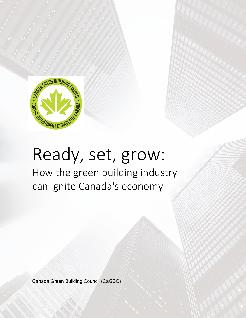

# Ready, set, grow:

How the green building industry can ignite Canada's economy

Canada Green Building Council (CaGBC)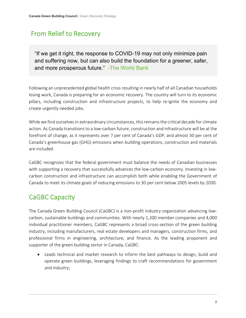## From Relief to Recovery

"If we get it right, the response to COVID-19 may not only minimize pain and suffering now, but can also build the foundation for a greener, safer, and more prosperous future." [-The World Bank](https://twitter.com/intent/tweet?text=If+we+get+it+right%2C+the+response+to+COVID-19+may+not+only+minimize+pain+and+suffering+now%2C+but+can+also+build+the+foundation+for+a+greener%2C+safer%2C+and+more+prosperous+future.&url=https://blogs.worldbank.org/climatechange/thinking-ahead-sustainable-recovery-covid-19-coronavirus/?cid=EXT_WBBlogTweetableShare_D_EXT&via=WBG_Climate)

Following an unprecedented global health crisis resulting in nearly half of all Canadian households losing work, Canada is preparing for an economic recovery. The country will turn to its economic pillars, including construction and infrastructure projects, to help re-ignite the economy and create urgently needed jobs.

While we find ourselves in extraordinary circumstances, this remains the critical decade for climate action. As Canada transitions to a low-carbon future, construction and infrastructure will be at the forefront of change, as it represents over 7 per cent of Canada's GDP, and almost 30 per cent of Canada's greenhouse gas (GHG) emissions when building operations, construction and materials are included.

CaGBC recognizes that the federal government must balance the needs of Canadian businesses with supporting a recovery that successfully advances the low-carbon economy. Investing in lowcarbon construction and infrastructure can accomplish both while enabling the Government of Canada to meet its climate goals of reducing emissions to 30 per cent below 2005 levels by 2030.

# CaGBC Capacity

The Canada Green Building Council (CaGBC) is a non-profit industry organization advancing lowcarbon, sustainable buildings and communities. With nearly 1,200 member companies and 4,000 individual practitioner members, CaGBC represents a broad cross-section of the green building industry, including manufacturers, real estate developers and managers, construction firms, and professional firms in engineering, architecture, and finance. As the leading proponent and supporter of the green building sector in Canada, CaGBC:

• Leads technical and market research to inform the best pathways to design, build and operate green buildings, leveraging findings to craft recommendations for government and industry;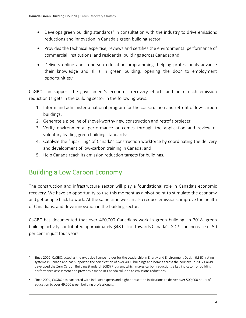- $\bullet$  Develops green building standards<sup>1</sup> in consultation with the industry to drive emissions reductions and innovation in Canada's green building sector;
- Provides the technical expertise, reviews and certifies the environmental performance of commercial, institutional and residential buildings across Canada; and
- Delivers online and in-person education programming, helping professionals advance their knowledge and skills in green building, opening the door to employment opportunities.<sup>2</sup>

CaGBC can support the government's economic recovery efforts and help reach emission reduction targets in the building sector in the following ways:

- 1. Inform and administer a national program for the construction and retrofit of low-carbon buildings;
- 2. Generate a pipeline of shovel-worthy new construction and retrofit projects;
- 3. Verify environmental performance outcomes through the application and review of voluntary leading green building standards;
- 4. Catalyze the "upskilling" of Canada's construction workforce by coordinating the delivery and development of low-carbon training in Canada; and
- 5. Help Canada reach its emission reduction targets for buildings.

# Building a Low Carbon Economy

The construction and infrastructure sector will play a foundational role in Canada's economic recovery. We have an opportunity to use this moment as a pivot point to stimulate the economy and get people back to work. At the same time we can also reduce emissions, improve the health of Canadians, and drive innovation in the building sector.

CaGBC has documented that over 460,000 Canadians work in green building. In 2018, green building activity contributed approximately \$48 billion towards Canada's GDP – an increase of 50 per cent in just four years.

<sup>&</sup>lt;sup>1</sup> Since 2002, CaGBC, acted as the exclusive license holder for the Leadership in Energy and Environment Design (LEED) rating systems in Canada and has supported the certification of over 4000 buildings and homes across the country. In 2017 CaGBC developed the Zero Carbon Building Standard (ZCBS) Program, which makes carbon reductions a key indicator for building performance assessment and provides a made-in-Canada solution to emissions reductions.

<sup>&</sup>lt;sup>2</sup> Since 2004, CaGBC has partnered with industry experts and higher education institutions to deliver over 500,000 hours of education to over 49,000 green building professionals.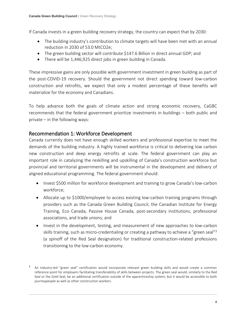If Canada invests in a green building recovery strategy, the country can expect that by 2030:

- The building industry's contribution to climate targets will have been met with an annual reduction in 2030 of 53.0 MtCO2e;
- The green building sector will contribute \$147.6 Billion in direct annual GDP; and
- There will be 1,446,925 direct jobs in green building in Canada.

These impressive gains are only possible with government investment in green building as part of the post-COVID-19 recovery. Should the government not direct spending toward low-carbon construction and retrofits, we expect that only a modest percentage of these benefits will materialize for the economy and Canadians.

To help advance both the goals of climate action and strong economic recovery, CaGBC recommends that the federal government prioritize investments in buildings – both public and private – in the following ways:

#### Recommendation 1: Workforce Development

Canada currently does not have enough skilled workers and professional expertise to meet the demands of the building industry. A highly trained workforce is critical to delivering low carbon new construction and deep energy retrofits at scale. The federal government can play an important role in catalyzing the reskilling and upskilling of Canada's construction workforce but provincial and territorial governments will be instrumental in the development and delivery of aligned educational programming. The federal government should:

- Invest \$500 million for workforce development and training to grow Canada's low-carbon workforce;
- Allocate up to \$1000/employee to access existing low-carbon training programs through providers such as the Canada Green Building Council, the Canadian Institute for Energy Training, Eco Canada, Passive House Canada, post-secondary institutions, professional associations, and trade unions; and
- Invest in the development, testing, and measurement of new approaches to low-carbon skills training, such as micro-credentialing or creating a pathway to achieve a "green seal"<sup>3</sup> (a spinoff of the Red Seal designation) for traditional construction-related professions transitioning to the low-carbon economy.

<sup>3</sup> An industry-led "green seal" certification would incorporate relevant green building skills and would create a common reference point for employers facilitating transferability of skills between projects. The green seal would, similarly to the Red Seal or the Gold Seal, be an additional certification outside of the apprenticeship system; but it would be accessible to both journeypeople as well as other construction workers.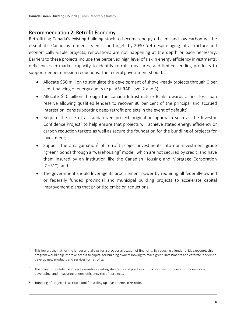#### Recommendation 2: Retrofit Economy

Retrofitting Canada's existing building stock to become energy efficient and low carbon will be essential if Canada is to meet its emission targets by 2030. Yet despite aging infrastructure and economically viable projects, renovations are not happening at the depth or pace necessary. Barriers to these projects include the perceived high level of risk in energy efficiency investments, deficiencies in market capacity to identify retrofit measures, and limited lending products to support deeper emission reductions. The federal government should:

- Allocate \$50 million to stimulate the development of shovel-ready projects through 0 per cent financing of energy audits (e.g., ASHRAE Level 2 and 3);
- Allocate \$10 billion through the Canada Infrastructure Bank towards a first loss loan reserve allowing qualified lenders to recover 80 per cent of the principal and accrued interest on loans supporting deep retrofit projects in the event of default;<sup>4</sup>
- Require the use of a standardized project origination approach such as the Investor Confidence Project<sup>5</sup> to help ensure that projects will achieve stated energy efficiency or carbon reduction targets as well as secure the foundation for the bundling of projects for investment;
- Support the amalgamation<sup>6</sup> of retrofit project investments into non-investment grade "green" bonds through a "warehousing" model, which are not secured by credit, and have them insured by an institution like the Canadian Housing and Mortgage Corporation (CHMC); and
- The government should leverage its procurement power by requiring all federally-owned or federally funded provincial and municipal building projects to accelerate capital improvement plans that prioritize emission reductions.

- <sup>5</sup> The Investor Confidence Project assembles existing standards and practices into a consistent process for underwriting, developing, and measuring energy efficiency retrofit projects.
- <sup>6</sup> Bundling of projects is a critical tool for scaling up investments in retrofits.

<sup>4</sup> This lowers the risk for the lender and allows for a broader allocation of financing. By reducing a lender's risk exposure, this program would help improve access to capital for building owners looking to make green investments and catalyze lenders to develop new products and services for retrofits.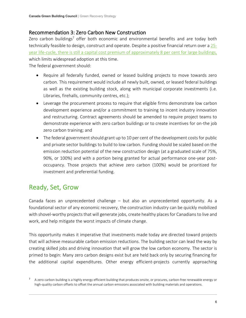#### Recommendation 3: Zero Carbon New Construction

Zero carbon buildings<sup>7</sup> offer both economic and environmental benefits and are today both technically feasible to design, construct and operate. Despite a positive financial return over a [25](https://www.cagbc.org/makingthecase) [year life-cycle, there is still a capital cost premium of approximately 8](https://www.cagbc.org/makingthecase) per cent for large buildings, which limits widespread adoption at this time.

The federal government should:

- Require all federally funded, owned or leased building projects to move towards zero carbon. This requirement would include all newly built, owned, or leased federal buildings as well as the existing building stock, along with municipal corporate investments (i.e. Libraries, firehalls, community centres, etc.);
- Leverage the procurement process to require that eligible firms demonstrate low carbon development experience and/or a commitment to training to incent industry innovation and restructuring. Contract agreements should be amended to require project teams to demonstrate experience with zero carbon buildings or to create incentives for on-the job zero carbon training; and
- The federal government should grant up to 10 per cent of the development costs for public and private sector buildings to build to low carbon. Funding should be scaled based on the emission reduction potential of the new construction design (at a graduated scale of 75%, 90%, or 100%) and with a portion being granted for actual performance one-year postoccupancy. Those projects that achieve zero carbon (100%) would be prioritized for investment and preferential funding.

## Ready, Set, Grow

Canada faces an unprecedented challenge – but also an unprecedented opportunity. As a foundational sector of any economic recovery, the construction industry can be quickly mobilized with shovel-worthy projects that will generate jobs, create healthy places for Canadians to live and work, and help mitigate the worst impacts of climate change.

This opportunity makes it imperative that investments made today are directed toward projects that will achieve measurable carbon emission reductions. The building sector can lead the way by creating skilled jobs and driving innovation that will grow the low carbon economy. The sector is primed to begin: Many zero carbon designs exist but are held back only by securing financing for the additional capital expenditures. Other energy efficient-projects currently approaching

<sup>&</sup>lt;sup>7</sup> A zero carbon building is a highly energy efficient building that produces onsite, or procures, carbon-free renewable energy or high-quality carbon offsets to offset the annual carbon emissions associated with building materials and operations.